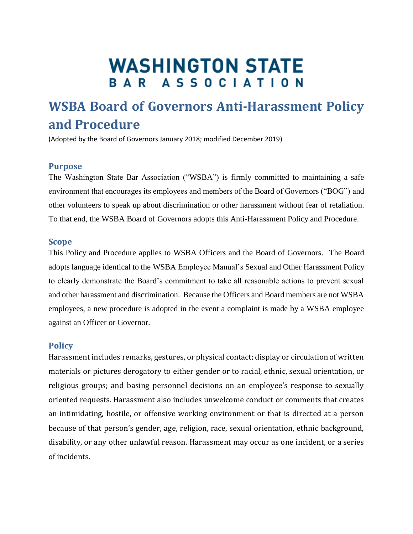# **WASHINGTON STATE** BAR ASSOCIATION

# **WSBA Board of Governors Anti-Harassment Policy and Procedure**

(Adopted by the Board of Governors January 2018; modified December 2019)

## **Purpose**

The Washington State Bar Association ("WSBA") is firmly committed to maintaining a safe environment that encourages its employees and members of the Board of Governors ("BOG") and other volunteers to speak up about discrimination or other harassment without fear of retaliation. To that end, the WSBA Board of Governors adopts this Anti-Harassment Policy and Procedure.

#### **Scope**

This Policy and Procedure applies to WSBA Officers and the Board of Governors. The Board adopts language identical to the WSBA Employee Manual's Sexual and Other Harassment Policy to clearly demonstrate the Board's commitment to take all reasonable actions to prevent sexual and other harassment and discrimination. Because the Officers and Board members are not WSBA employees, a new procedure is adopted in the event a complaint is made by a WSBA employee against an Officer or Governor.

#### **Policy**

Harassment includes remarks, gestures, or physical contact; display or circulation of written materials or pictures derogatory to either gender or to racial, ethnic, sexual orientation, or religious groups; and basing personnel decisions on an employee's response to sexually oriented requests. Harassment also includes unwelcome conduct or comments that creates an intimidating, hostile, or offensive working environment or that is directed at a person because of that person's gender, age, religion, race, sexual orientation, ethnic background, disability, or any other unlawful reason. Harassment may occur as one incident, or a series of incidents.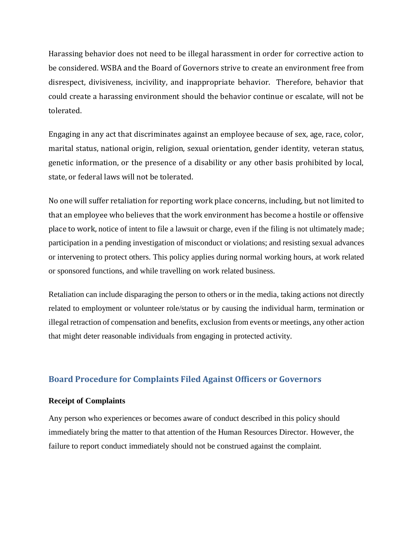Harassing behavior does not need to be illegal harassment in order for corrective action to be considered. WSBA and the Board of Governors strive to create an environment free from disrespect, divisiveness, incivility, and inappropriate behavior. Therefore, behavior that could create a harassing environment should the behavior continue or escalate, will not be tolerated.

Engaging in any act that discriminates against an employee because of sex, age, race, color, marital status, national origin, religion, sexual orientation, gender identity, veteran status, genetic information, or the presence of a disability or any other basis prohibited by local, state, or federal laws will not be tolerated.

No one will suffer retaliation for reporting work place concerns, including, but not limited to that an employee who believes that the work environment has become a hostile or offensive place to work, notice of intent to file a lawsuit or charge, even if the filing is not ultimately made; participation in a pending investigation of misconduct or violations; and resisting sexual advances or intervening to protect others. This policy applies during normal working hours, at work related or sponsored functions, and while travelling on work related business.

Retaliation can include disparaging the person to others or in the media, taking actions not directly related to employment or volunteer role/status or by causing the individual harm, termination or illegal retraction of compensation and benefits, exclusion from events or meetings, any other action that might deter reasonable individuals from engaging in protected activity.

# **Board Procedure for Complaints Filed Against Officers or Governors**

## **Receipt of Complaints**

Any person who experiences or becomes aware of conduct described in this policy should immediately bring the matter to that attention of the Human Resources Director. However, the failure to report conduct immediately should not be construed against the complaint.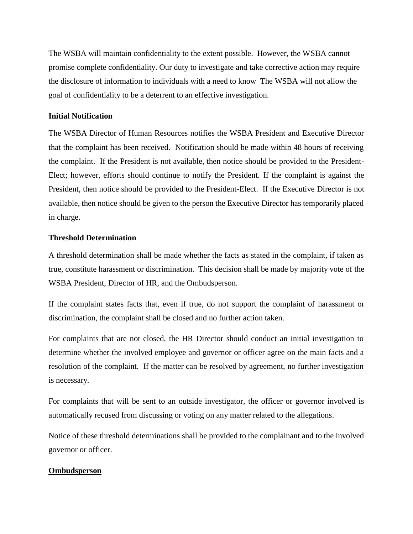The WSBA will maintain confidentiality to the extent possible. However, the WSBA cannot promise complete confidentiality. Our duty to investigate and take corrective action may require the disclosure of information to individuals with a need to know The WSBA will not allow the goal of confidentiality to be a deterrent to an effective investigation.

#### **Initial Notification**

The WSBA Director of Human Resources notifies the WSBA President and Executive Director that the complaint has been received. Notification should be made within 48 hours of receiving the complaint. If the President is not available, then notice should be provided to the President-Elect; however, efforts should continue to notify the President. If the complaint is against the President, then notice should be provided to the President-Elect. If the Executive Director is not available, then notice should be given to the person the Executive Director has temporarily placed in charge.

#### **Threshold Determination**

A threshold determination shall be made whether the facts as stated in the complaint, if taken as true, constitute harassment or discrimination. This decision shall be made by majority vote of the WSBA President, Director of HR, and the Ombudsperson.

If the complaint states facts that, even if true, do not support the complaint of harassment or discrimination, the complaint shall be closed and no further action taken.

For complaints that are not closed, the HR Director should conduct an initial investigation to determine whether the involved employee and governor or officer agree on the main facts and a resolution of the complaint. If the matter can be resolved by agreement, no further investigation is necessary.

For complaints that will be sent to an outside investigator, the officer or governor involved is automatically recused from discussing or voting on any matter related to the allegations.

Notice of these threshold determinations shall be provided to the complainant and to the involved governor or officer.

#### **Ombudsperson**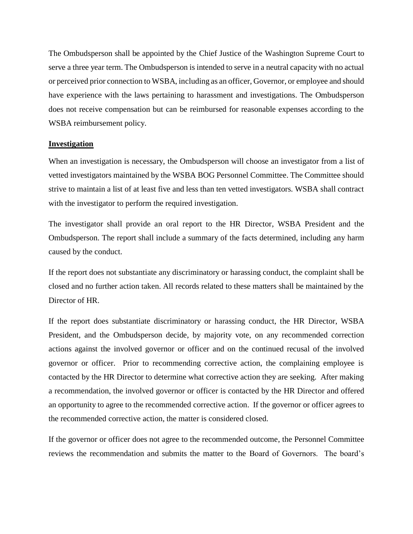The Ombudsperson shall be appointed by the Chief Justice of the Washington Supreme Court to serve a three year term. The Ombudsperson is intended to serve in a neutral capacity with no actual or perceived prior connection to WSBA, including as an officer, Governor, or employee and should have experience with the laws pertaining to harassment and investigations. The Ombudsperson does not receive compensation but can be reimbursed for reasonable expenses according to the WSBA reimbursement policy.

#### **Investigation**

When an investigation is necessary, the Ombudsperson will choose an investigator from a list of vetted investigators maintained by the WSBA BOG Personnel Committee. The Committee should strive to maintain a list of at least five and less than ten vetted investigators. WSBA shall contract with the investigator to perform the required investigation.

The investigator shall provide an oral report to the HR Director, WSBA President and the Ombudsperson. The report shall include a summary of the facts determined, including any harm caused by the conduct.

If the report does not substantiate any discriminatory or harassing conduct, the complaint shall be closed and no further action taken. All records related to these matters shall be maintained by the Director of HR.

If the report does substantiate discriminatory or harassing conduct, the HR Director, WSBA President, and the Ombudsperson decide, by majority vote, on any recommended correction actions against the involved governor or officer and on the continued recusal of the involved governor or officer. Prior to recommending corrective action, the complaining employee is contacted by the HR Director to determine what corrective action they are seeking. After making a recommendation, the involved governor or officer is contacted by the HR Director and offered an opportunity to agree to the recommended corrective action. If the governor or officer agrees to the recommended corrective action, the matter is considered closed.

If the governor or officer does not agree to the recommended outcome, the Personnel Committee reviews the recommendation and submits the matter to the Board of Governors. The board's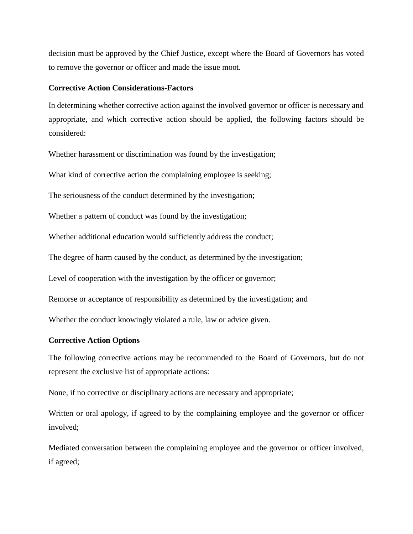decision must be approved by the Chief Justice, except where the Board of Governors has voted to remove the governor or officer and made the issue moot.

#### **Corrective Action Considerations-Factors**

In determining whether corrective action against the involved governor or officer is necessary and appropriate, and which corrective action should be applied, the following factors should be considered:

Whether harassment or discrimination was found by the investigation;

What kind of corrective action the complaining employee is seeking;

The seriousness of the conduct determined by the investigation;

Whether a pattern of conduct was found by the investigation;

Whether additional education would sufficiently address the conduct;

The degree of harm caused by the conduct, as determined by the investigation;

Level of cooperation with the investigation by the officer or governor;

Remorse or acceptance of responsibility as determined by the investigation; and

Whether the conduct knowingly violated a rule, law or advice given.

#### **Corrective Action Options**

The following corrective actions may be recommended to the Board of Governors, but do not represent the exclusive list of appropriate actions:

None, if no corrective or disciplinary actions are necessary and appropriate;

Written or oral apology, if agreed to by the complaining employee and the governor or officer involved;

Mediated conversation between the complaining employee and the governor or officer involved, if agreed;